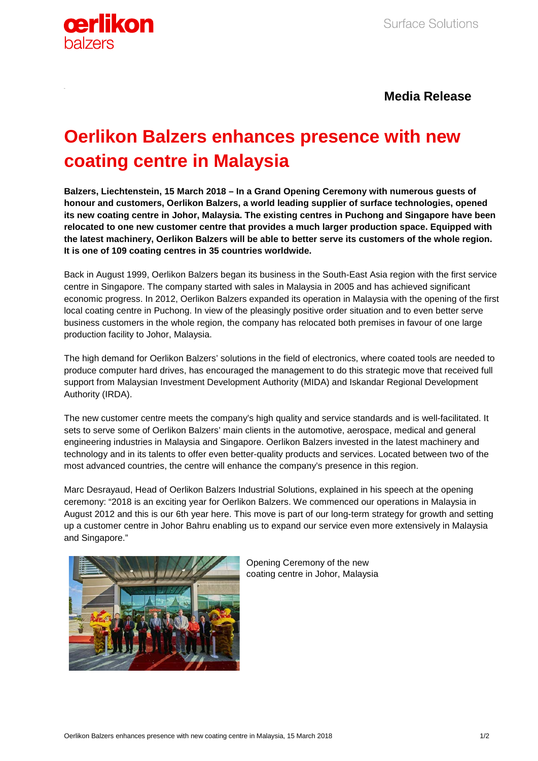

## **Media Release**

# **Oerlikon Balzers enhances presence with new coating centre in Malaysia**

**Balzers, Liechtenstein, 15 March 2018 – In a Grand Opening Ceremony with numerous guests of honour and customers, Oerlikon Balzers, a world leading supplier of surface technologies, opened its new coating centre in Johor, Malaysia. The existing centres in Puchong and Singapore have been relocated to one new customer centre that provides a much larger production space. Equipped with the latest machinery, Oerlikon Balzers will be able to better serve its customers of the whole region. It is one of 109 coating centres in 35 countries worldwide.**

Back in August 1999, Oerlikon Balzers began its business in the South-East Asia region with the first service centre in Singapore. The company started with sales in Malaysia in 2005 and has achieved significant economic progress. In 2012, Oerlikon Balzers expanded its operation in Malaysia with the opening of the first local coating centre in Puchong. In view of the pleasingly positive order situation and to even better serve business customers in the whole region, the company has relocated both premises in favour of one large production facility to Johor, Malaysia.

The high demand for Oerlikon Balzers' solutions in the field of electronics, where coated tools are needed to produce computer hard drives, has encouraged the management to do this strategic move that received full support from Malaysian Investment Development Authority (MIDA) and Iskandar Regional Development Authority (IRDA).

The new customer centre meets the company's high quality and service standards and is well-facilitated. It sets to serve some of Oerlikon Balzers' main clients in the automotive, aerospace, medical and general engineering industries in Malaysia and Singapore. Oerlikon Balzers invested in the latest machinery and technology and in its talents to offer even better-quality products and services. Located between two of the most advanced countries, the centre will enhance the company's presence in this region.

Marc Desrayaud, Head of Oerlikon Balzers Industrial Solutions, explained in his speech at the opening ceremony: "2018 is an exciting year for Oerlikon Balzers. We commenced our operations in Malaysia in August 2012 and this is our 6th year here. This move is part of our long-term strategy for growth and setting up a customer centre in Johor Bahru enabling us to expand our service even more extensively in Malaysia and Singapore."



Opening Ceremony of the new coating centre in Johor, Malaysia